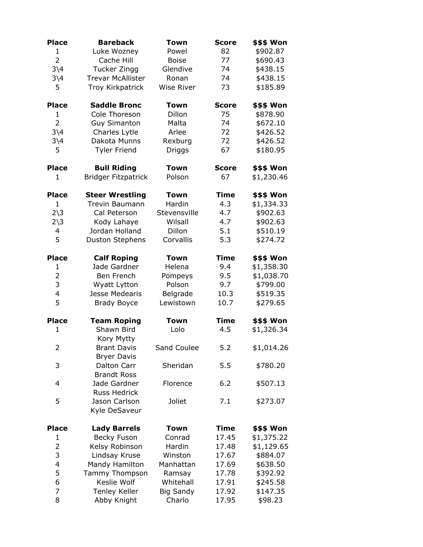| <b>Place</b>           | <b>Bareback</b>                   | Town              | <b>Score</b> | \$\$\$ Won |
|------------------------|-----------------------------------|-------------------|--------------|------------|
| 1                      | Luke Wozney                       | Powel             | 82           | \$902.87   |
| $\overline{2}$         | Cache Hill                        | <b>Boise</b>      | 77           | \$690.43   |
| $3\backslash4$         | <b>Tucker Zingg</b>               | Glendive          | 74           | \$438.15   |
| $3\backslash4$         | <b>Trevar McAllister</b>          | Ronan             | 74           | \$438.15   |
| 5                      | <b>Troy Kirkpatrick</b>           | <b>Wise River</b> | 73           | \$185.89   |
| <b>Place</b>           | <b>Saddle Bronc</b>               | <b>Town</b>       | <b>Score</b> | \$\$\$ Won |
| 1                      | Cole Thoreson                     | Dillon            | 75           | \$878.90   |
| $\overline{2}$         | <b>Guy Simanton</b>               | Malta             | 74           | \$672.10   |
| $3\backslash4$         | Charles Lytle                     | Arlee             | 72           | \$426.52   |
| $3\backslash4$         | Dakota Munns                      | Rexburg           | 72           | \$426.52   |
| 5                      | <b>Tyler Friend</b>               | Driggs            | 67           | \$180.95   |
| <b>Place</b>           | <b>Bull Riding</b>                | <b>Town</b>       | <b>Score</b> | \$\$\$ Won |
| 1                      | <b>Bridger Fitzpatrick</b>        | Polson            | 67           | \$1,230.46 |
| <b>Place</b>           | <b>Steer Wrestling</b>            | <b>Town</b>       | <b>Time</b>  | \$\$\$ Won |
| 1                      | Trevin Baumann                    | Hardin            | 4.3          | \$1,334.33 |
| $2\overline{3}$        | Cal Peterson                      | Stevensville      | 4.7          | \$902.63   |
| $2\overline{\smash)3}$ | Kody Lahaye                       | Wilsall           | 4.7          | \$902.63   |
| 4                      | Jordan Holland                    | Dillon            | 5.1          | \$510.19   |
| 5                      | <b>Duston Stephens</b>            | Corvallis         | 5.3          | \$274.72   |
| <b>Place</b>           | <b>Calf Roping</b>                | <b>Town</b>       | <b>Time</b>  | \$\$\$ Won |
| $\mathbf{1}$           | Jade Gardner                      | Helena            | 9.4          | \$1,358.30 |
| $\overline{2}$         | Ben French                        | Pompeys           | 9.5          | \$1,038.70 |
| 3                      | Wyatt Lytton                      | Polson            | 9.7          | \$799.00   |
| 4                      | Jesse Medearis                    | Belgrade          | 10.3         | \$519.35   |
| 5                      | <b>Brady Boyce</b>                | Lewistown         | 10.7         | \$279.65   |
| <b>Place</b>           | <b>Team Roping</b>                | <b>Town</b>       | <b>Time</b>  | \$\$\$ Won |
| 1                      | Shawn Bird<br>Kory Mytty          | Lolo              | 4.5          | \$1,326.34 |
| $\overline{2}$         | <b>Brant Davis</b>                | Sand Coulee       | 5.2          | \$1,014.26 |
|                        | <b>Bryer Davis</b>                |                   |              |            |
| 3                      | Dalton Carr<br><b>Brandt Ross</b> | Sheridan          | 5.5          | \$780.20   |
| 4                      | Jade Gardner                      | Florence          | 6.2          | \$507.13   |
|                        | Russ Hedrick                      |                   |              |            |
| 5                      | Jason Carlson                     | Joliet            | 7.1          | \$273.07   |
|                        | Kyle DeSaveur                     |                   |              |            |
| <b>Place</b>           | <b>Lady Barrels</b>               | <b>Town</b>       | Time         | \$\$\$ Won |
| 1                      | Becky Fuson                       | Conrad            | 17.45        | \$1,375.22 |
| $\overline{c}$         | Kelsy Robinson                    | Hardin            | 17.48        | \$1,129.65 |
| 3                      | Lindsay Kruse                     | Winston           | 17.67        | \$884.07   |
| 4                      | Mandy Hamilton                    | Manhattan         | 17.69        | \$638.50   |
| 5                      | Tammy Thompson                    | Ramsay            | 17.78        | \$392.92   |
| 6                      | Keslie Wolf                       | Whitehall         | 17.91        | \$245.58   |
| $\overline{7}$         | <b>Tenley Keller</b>              | <b>Big Sandy</b>  | 17.92        | \$147.35   |
| 8                      | Abby Knight                       | Charlo            | 17.95        | \$98.23    |